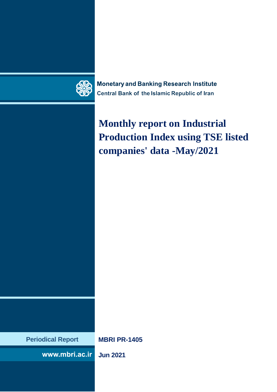

**Monetary and Banking Research Institute Central Bank of the Islamic Republic of Iran** 

# **Monthly report on Industrial Production Index using TSE listed companies' data -May/2021**

**Periodical Report MBRI PR-1405**

www.mbri.ac.ir

**Jun 2021**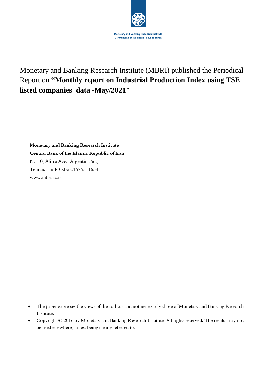

### Monetary and Banking Research Institute (MBRI) published the Periodical Report on **"Monthly report on Industrial Production Index using TSE listed companies' data -May/2021"**

**Monetary and Banking Research Institute Central Bank of the Islamic Republic of Iran** No.10, Africa Ave., Argentina Sq., Tehran.Iran.P.O.box:16765-1654 www.mbri.ac.ir

- The paper expresses the views of the authors and not necessarily those of Monetary and Banking Research Institute.
- Copyright © 2016 by Monetary and Banking Research Institute. All rights reserved. The results may not be used elsewhere, unless being clearly referred to.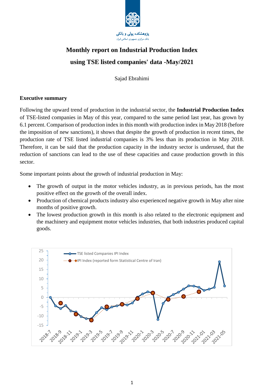

## **Monthly report on Industrial Production Index using TSE listed companies' data -May/2021**

Sajad Ebrahimi

#### **Executive summary**

Following the upward trend of production in the industrial sector, the **Industrial Production Index** of TSE-listed companies in May of this year, compared to the same period last year, has grown by 6.1 percent. Comparison of production index in this month with production index in May 2018 (before the imposition of new sanctions), it shows that despite the growth of production in recent times, the production rate of TSE listed industrial companies is 3% less than its production in May 2018. Therefore, it can be said that the production capacity in the industry sector is underused, that the reduction of sanctions can lead to the use of these capacities and cause production growth in this sector.

Some important points about the growth of industrial production in May:

- The growth of output in the motor vehicles industry, as in previous periods, has the most positive effect on the growth of the overall index.
- Production of chemical products industry also experienced negative growth in May after nine months of positive growth.
- The lowest production growth in this month is also related to the electronic equipment and the machinery and equipment motor vehicles industries, that both industries produced capital goods.

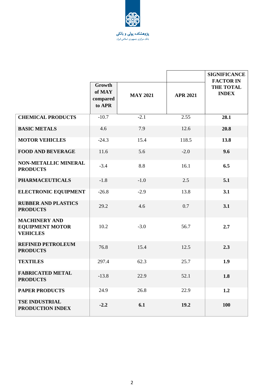

|                                                                   |                                        |                 |                 | <b>SIGNIFICANCE</b>                                  |
|-------------------------------------------------------------------|----------------------------------------|-----------------|-----------------|------------------------------------------------------|
|                                                                   | Growth<br>of MAY<br>compared<br>to APR | <b>MAY 2021</b> | <b>APR 2021</b> | <b>FACTOR IN</b><br><b>THE TOTAL</b><br><b>INDEX</b> |
| <b>CHEMICAL PRODUCTS</b>                                          | $-10.7$                                | $-2.1$          | 2.55            | 28.1                                                 |
| <b>BASIC METALS</b>                                               | 4.6                                    | 7.9             | 12.6            | 20.8                                                 |
| <b>MOTOR VEHICLES</b>                                             | $-24.3$                                | 15.4            | 118.5           | 13.8                                                 |
| <b>FOOD AND BEVERAGE</b>                                          | 11.6                                   | 5.6             | $-2.0$          | 9.6                                                  |
| <b>NON-METALLIC MINERAL</b><br><b>PRODUCTS</b>                    | $-3.4$                                 | 8.8             | 16.1            | 6.5                                                  |
| <b>PHARMACEUTICALS</b>                                            | $-1.8$                                 | $-1.0$          | 2.5             | 5.1                                                  |
| <b>ELECTRONIC EQUIPMENT</b>                                       | $-26.8$                                | $-2.9$          | 13.8            | 3.1                                                  |
| <b>RUBBER AND PLASTICS</b><br><b>PRODUCTS</b>                     | 29.2                                   | 4.6             | 0.7             | 3.1                                                  |
| <b>MACHINERY AND</b><br><b>EQUIPMENT MOTOR</b><br><b>VEHICLES</b> | 10.2                                   | $-3.0$          | 56.7            | 2.7                                                  |
| <b>REFINED PETROLEUM</b><br><b>PRODUCTS</b>                       | 76.8                                   | 15.4            | 12.5            | 2.3                                                  |
| <b>TEXTILES</b>                                                   | 297.4                                  | 62.3            | 25.7            | 1.9                                                  |
| <b>FABRICATED METAL</b><br><b>PRODUCTS</b>                        | $-13.8$                                | 22.9            | 52.1            | 1.8                                                  |
| <b>PAPER PRODUCTS</b>                                             | 24.9                                   | 26.8            | 22.9            | 1.2                                                  |
| <b>TSE INDUSTRIAL</b><br>PRODUCTION INDEX                         | $-2.2$                                 | 6.1             | 19.2            | 100                                                  |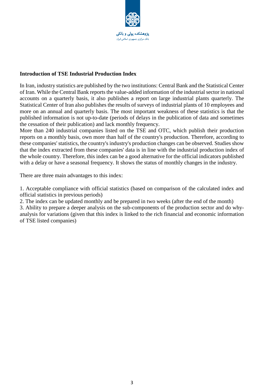

#### **Introduction of TSE Industrial Production Index**

In Iran, industry statistics are published by the two institutions: Central Bank and the Statistical Center of Iran. While the Central Bank reports the value-added information of the industrial sector in national accounts on a quarterly basis, it also publishes a report on large industrial plants quarterly. The Statistical Center of Iran also publishes the results of surveys of industrial plants of 10 employees and more on an annual and quarterly basis. The most important weakness of these statistics is that the published information is not up-to-date (periods of delays in the publication of data and sometimes the cessation of their publication) and lack monthly frequency.

More than 240 industrial companies listed on the TSE and OTC, which publish their production reports on a monthly basis, own more than half of the country's production. Therefore, according to these companies' statistics, the country's industry's production changes can be observed. Studies show that the index extracted from these companies' data is in line with the industrial production index of the whole country. Therefore, this index can be a good alternative for the official indicators published with a delay or have a seasonal frequency. It shows the status of monthly changes in the industry.

There are three main advantages to this index:

1. Acceptable compliance with official statistics (based on comparison of the calculated index and official statistics in previous periods)

2. The index can be updated monthly and be prepared in two weeks (after the end of the month)

3. Ability to prepare a deeper analysis on the sub-components of the production sector and do whyanalysis for variations (given that this index is linked to the rich financial and economic information of TSE listed companies)